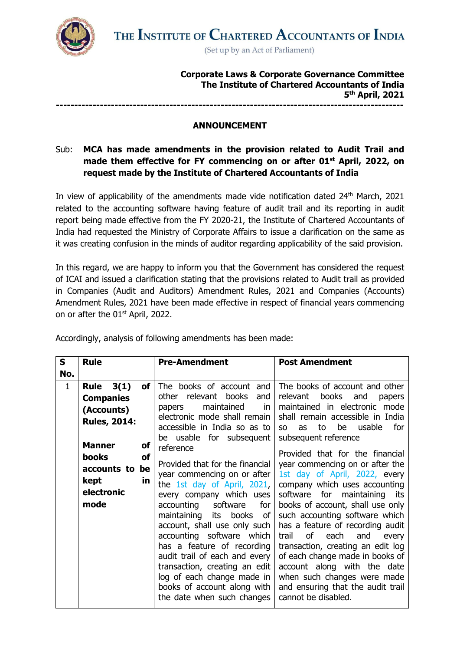

**Corporate Laws & Corporate Governance Committee The Institute of Chartered Accountants of India 5 th April, 2021 -----------------------------------------------------------------------------------------------**

## **ANNOUNCEMENT**

## Sub: **MCA has made amendments in the provision related to Audit Trail and made them effective for FY commencing on or after 01st April, 2022, on request made by the Institute of Chartered Accountants of India**

In view of applicability of the amendments made vide notification dated 24<sup>th</sup> March, 2021 related to the accounting software having feature of audit trail and its reporting in audit report being made effective from the FY 2020-21, the Institute of Chartered Accountants of India had requested the Ministry of Corporate Affairs to issue a clarification on the same as it was creating confusion in the minds of auditor regarding applicability of the said provision.

In this regard, we are happy to inform you that the Government has considered the request of ICAI and issued a clarification stating that the provisions related to Audit trail as provided in Companies (Audit and Auditors) Amendment Rules, 2021 and Companies (Accounts) Amendment Rules, 2021 have been made effective in respect of financial years commencing on or after the 01<sup>st</sup> April, 2022.

| S            | <b>Rule</b>                                                                                                                                                                                | <b>Pre-Amendment</b>                                                                                                                                                                                                                                                                                                                                                                                                                                                                                                                                                                                                                                      | <b>Post Amendment</b>                                                                                                                                                                                                                                                                                                                                                                                                                                                                                                                                                                                                                                                                                                                              |
|--------------|--------------------------------------------------------------------------------------------------------------------------------------------------------------------------------------------|-----------------------------------------------------------------------------------------------------------------------------------------------------------------------------------------------------------------------------------------------------------------------------------------------------------------------------------------------------------------------------------------------------------------------------------------------------------------------------------------------------------------------------------------------------------------------------------------------------------------------------------------------------------|----------------------------------------------------------------------------------------------------------------------------------------------------------------------------------------------------------------------------------------------------------------------------------------------------------------------------------------------------------------------------------------------------------------------------------------------------------------------------------------------------------------------------------------------------------------------------------------------------------------------------------------------------------------------------------------------------------------------------------------------------|
| No.          |                                                                                                                                                                                            |                                                                                                                                                                                                                                                                                                                                                                                                                                                                                                                                                                                                                                                           |                                                                                                                                                                                                                                                                                                                                                                                                                                                                                                                                                                                                                                                                                                                                                    |
| $\mathbf{1}$ | 3(1)<br><b>Rule</b><br>of l<br><b>Companies</b><br>(Accounts)<br><b>Rules, 2014:</b><br><b>Manner</b><br>of<br><b>books</b><br>of<br>be<br>accounts to<br>in<br>kept<br>electronic<br>mode | The books of account and<br>other relevant books<br>and<br>maintained<br>in<br>papers<br>electronic mode shall remain<br>accessible in India so as to<br>be usable for subsequent<br>reference<br>Provided that for the financial<br>year commencing on or after<br>the 1st day of April, 2021,<br>every company which uses<br>software<br>accounting<br>for<br>maintaining<br>books<br>its<br>of<br>account, shall use only such<br>accounting software which<br>has a feature of recording<br>audit trail of each and every<br>transaction, creating an edit<br>log of each change made in<br>books of account along with<br>the date when such changes | The books of account and other<br>relevant<br>books<br>and<br>papers<br>maintained in electronic mode<br>shall remain accessible in India<br>to<br>be<br>usable<br>for<br>as<br>SO <sub>2</sub><br>subsequent reference<br>Provided that for the financial<br>year commencing on or after the<br>1st day of April, 2022, every<br>company which uses accounting<br>software for maintaining its<br>books of account, shall use only<br>such accounting software which<br>has a feature of recording audit<br>of<br>each<br>and<br>trail<br>every<br>transaction, creating an edit log<br>of each change made in books of<br>account along with the date<br>when such changes were made<br>and ensuring that the audit trail<br>cannot be disabled. |

Accordingly, analysis of following amendments has been made: